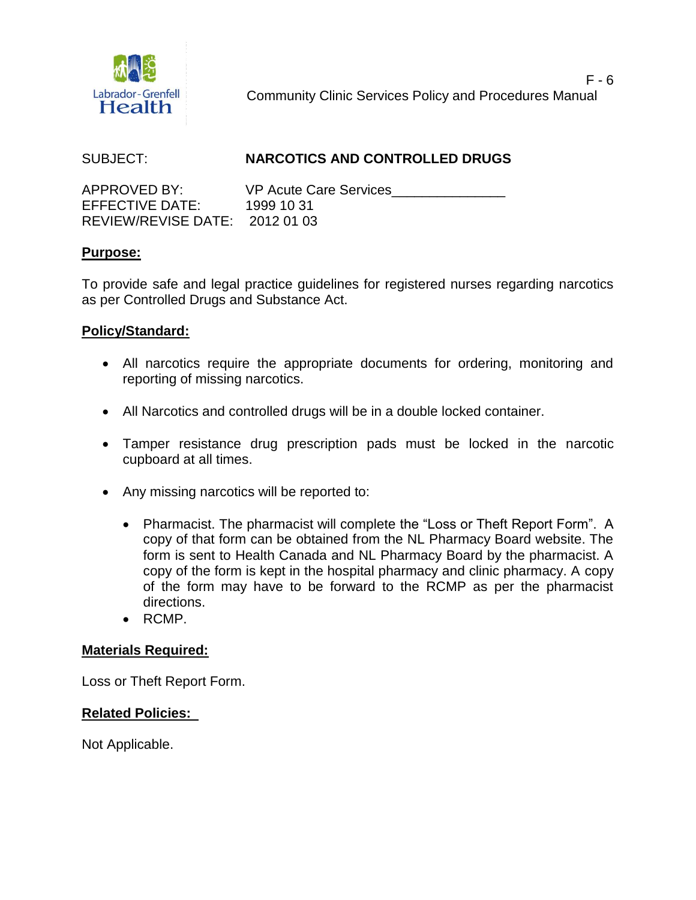

Community Clinic Services Policy and Procedures Manual

# SUBJECT: **NARCOTICS AND CONTROLLED DRUGS**

APPROVED BY: VP Acute Care Services EFFECTIVE DATE: 1999 10 31 REVIEW/REVISE DATE: 2012 01 03

## **Purpose:**

To provide safe and legal practice guidelines for registered nurses regarding narcotics as per Controlled Drugs and Substance Act.

### **Policy/Standard:**

- All narcotics require the appropriate documents for ordering, monitoring and reporting of missing narcotics.
- All Narcotics and controlled drugs will be in a double locked container.
- Tamper resistance drug prescription pads must be locked in the narcotic cupboard at all times.
- Any missing narcotics will be reported to:
	- Pharmacist. The pharmacist will complete the "Loss or Theft Report Form". A copy of that form can be obtained from the NL Pharmacy Board website. The form is sent to Health Canada and NL Pharmacy Board by the pharmacist. A copy of the form is kept in the hospital pharmacy and clinic pharmacy. A copy of the form may have to be forward to the RCMP as per the pharmacist directions.
	- RCMP.

### **Materials Required:**

Loss or Theft Report Form.

### **Related Policies:**

Not Applicable.